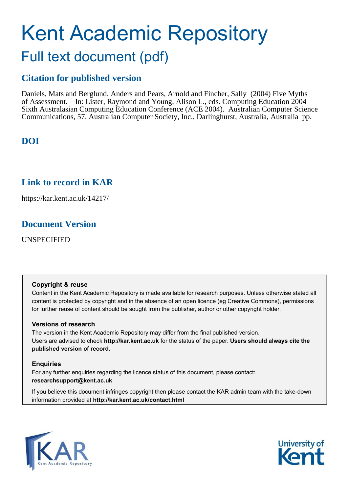# Kent Academic Repository Full text document (pdf)

# **Citation for published version**

Daniels, Mats and Berglund, Anders and Pears, Arnold and Fincher, Sally (2004) Five Myths of Assessment. In: Lister, Raymond and Young, Alison L., eds. Computing Education 2004 Sixth Australasian Computing Education Conference (ACE 2004). Australian Computer Science Communications, 57. Australian Computer Society, Inc., Darlinghurst, Australia, Australia pp.

# **DOI**

# **Link to record in KAR**

https://kar.kent.ac.uk/14217/

# **Document Version**

UNSPECIFIED

## **Copyright & reuse**

Content in the Kent Academic Repository is made available for research purposes. Unless otherwise stated all content is protected by copyright and in the absence of an open licence (eg Creative Commons), permissions for further reuse of content should be sought from the publisher, author or other copyright holder.

## **Versions of research**

The version in the Kent Academic Repository may differ from the final published version. Users are advised to check **http://kar.kent.ac.uk** for the status of the paper. **Users should always cite the published version of record.**

## **Enquiries**

For any further enquiries regarding the licence status of this document, please contact: **researchsupport@kent.ac.uk**

If you believe this document infringes copyright then please contact the KAR admin team with the take-down information provided at **http://kar.kent.ac.uk/contact.html**



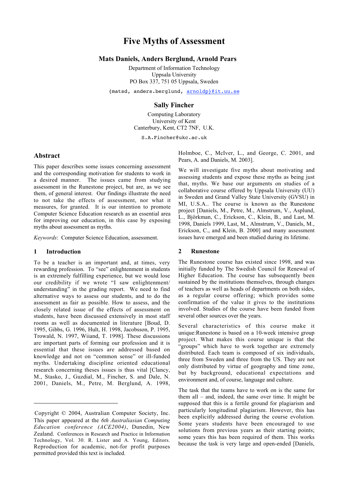## **Five Myths of Assessment**

#### **Mats Daniels, Anders Berglund, Arnold Pears**

Department of Information Technology Uppsala University PO Box 337, 751 05 Uppsala, Sweden

{matsd, anders.berglund, arnoldp}@it.uu.se

#### **Sally Fincher**

Computing Laboratory University of Kent Canterbury, Kent, CT2 7NF, U.K.

S.A.Fincher@ukc.ac.uk

#### **Abstract**

This paper describes some issues concerning assessment and the corresponding motivation for students to work in a desired manner. The issues came from studying assessment in the Runestone project, but are, as we see them, of general interest. Our findings illustrate the need to not take the effects of assessment, nor what it measures, for granted. It is our intention to promote Computer Science Education research as an essential area for improving our education, in this case by exposing myths about assessment as myths.

*Keywords*: Computer Science Education, assessment.

#### **1 Introduction**

 $\overline{a}$ 

To be a teacher is an important and, at times, very rewarding profession. To "see" enlightenment in students is an extremely fulfilling experience, but we would lose our credibility if we wrote "I saw enlightenment/ understanding" in the grading report. We need to find alternative ways to assess our students, and to do the assessment as fair as possible. How to assess, and the closely related issue of the effects of assessment on students, have been discussed extensively in most staff rooms as well as documented in literature [Boud, D. 1995, Gibbs, G. 1996, Hult, H. 1998, Jacobsson, P. 1995, Trowald, N. 1997, Wiiand, T. 1998]. These discussions are important parts of forming our profession and it is essential that these issues are addressed based on knowledge and not on "common sense" or ill-funded myths. Undertaking discipline oriented educational research concerning theses issues is thus vital [Clancy, M., Stasko, J., Guzdial, M., Fincher, S. and Dale, N. 2001, Daniels, M., Petre, M. Berglund, A. 1998,

Holmboe, C., McIver, L., and George, C. 2001, and Pears, A. and Daniels, M. 2003].

We will investigate five myths about motivating and assessing students and expose these myths as being just that, myths. We base our arguments on studies of a collaborative course offered by Uppsala University (UU) in Sweden and Grand Valley State University (GVSU) in MI, U.S.A.. The course is known as the Runestone project [Daniels, M., Petre, M., Almstrum, V., Asplund, L., Björkman, C., Erickson, C., Klein, B., and Last, M. 1998, Daniels 1999, Last, M., Almstrum, V., Daniels, M., Erickson, C., and Klein, B. 2000] and many assessment issues have emerged and been studied during its lifetime.

#### **2 Runestone**

The Runestone course has existed since 1998, and was initially funded by The Swedish Council for Renewal of Higher Education. The course has subsequently been sustained by the institutions themselves, through changes of teachers as well as heads of departments on both sides, as a regular course offering; which provides some confirmation of the value it gives to the institutions involved. Studies of the course have been funded from several other sources over the years.

Several characteristics of this course make it unique:Runestone is based on a 10-week intensive group project. What makes this course unique is that the "groups" which have to work together are extremely distributed. Each team is composed of six individuals, three from Sweden and three from the US. They are not only distributed by virtue of geography and time zone, but by background, educational expectations and environment and, of course, language and culture.

The task that the teams have to work on is the same for them all – and, indeed, the same over time. It might be supposed that this is a fertile ground for plagiarism and particularly longitudinal plagiarism. However, this has been explicitly addressed during the course evolution. Some years students have been encouraged to use solutions from previous years as their starting points; some years this has been required of them. This works because the task is very large and open-ended [Daniels,

Copyright © 2004, Australian Computer Society, Inc. This paper appeared at the *6th Australiasian Computing Education conference (ACE2004)*, Dunedin, New Zealand. Conferences in Research and Practice in Information Technology, Vol. 30. R. Lister and A. Young, Editors. Reproduction for academic, not-for profit purposes permitted provided this text is included.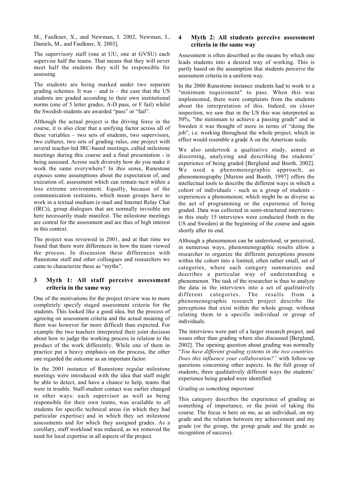M., Faulkner, X., and Newman, I. 2002, Newman, I., Daniels, M., and Faulkner, X. 2003].

The supervisory staff (one at UU, one at GVSU) each supervise half the teams. That means that they will never meet half the students they will be responsible for assessing.

The students are being marked under two separate grading schemes. It was – and is – the case that the  $US$ students are graded according to their own institutional norms (one of 5 letter grades, A-D pass, or F fail) whilst the Swedish students are awarded "pass" or "fail".

Although the actual project is the driving force in the course, it is also clear that a unifying factor across all of these variables – two sets of students, two supervisors, two cultures, two sets of grading rules, one project with several teacher-led IRC-based meetings, called milestone meetings during this course and a final presentation - is being assessed. Across such diversity how do you make it work the same everywhere? In this sense, Runestone exposes some assumptions about the expectation of, and execution of, assessment which can remain tacit within a less extreme environment. Equally, because of the communication restraints, which mean groups have to work in a textual medium (e-mail and Internet Relay Chat (IRC)), group dialogues that are normally invisible are here necessarily made manifest. The milestone meetings are central for the assessment and are thus of high interest in this context.

The project was reviewed in 2001, and at that time we found that there were differences in how the team viewed the process. In discussion these differences with Runestone staff and other colleagues and researchers we came to characterize these as "myths".

#### **3 Myth 1: All staff perceive assessment criteria in the same way**

One of the motivations for the project review was to more completely specify staged assessment criteria for the students. This looked like a good idea, but the process of agreeing on assessment criteria and the actual meaning of them was however far more difficult than expected. For example the two teachers interpreted their joint decision about how to judge the working process in relation to the product of the work differently. While one of them in practice put a heavy emphasis on the process, the other one regarded the outcome as an important factor.

In the 2001 instance of Runestone regular milestone meetings were introduced with the idea that staff might be able to detect, and have a chance to help, teams that were in trouble. Staff-student contact was earlier changed in other ways: each supervisor as well as being responsible for their own teams, was available to *all* students for specific technical areas (in which they had particular expertise) and in which they set milestone assessments and for which they assigned grades. As a corollary, staff workload was reduced, as we removed the need for local expertise in all aspects of the project.

#### **4 Myth 2: All students perceive assessment criteria in the same way**

Assessment is often described as the means by which one leads students into a desired way of working. This is partly based on the assumption that students perceive the assessment criteria in a uniform way.

In the 2000 Runestone instance students had to work to a "minimum requirement" to pass. When this was implemented, there were complaints from the students about the interpretation of this. Indeed, on closer inspection, we saw that in the US this was interpreted as 50%, "the minimum to achieve a passing grade" and in Sweden it was thought of more in terms of "doing the job", i.e. working throughout the whole project, which in effect would resemble a grade A on the American scale.

We also undertook a qualitative study, aimed at discerning, analyzing and describing the students' experience of being graded [Berglund and Booth, 2002]. We used a phenomenographic approach, as phenomenography [Marton and Booth, 1997] offers the intellectual tools to describe the different ways in which a cohort of individuals - such as a group of students experiences a phenomenon; which might be as diverse as the act of programming or the experience of being graded. Data was collected in semi-structured interviews: in this study 15 interviews were conducted (both in the US and Sweden) at the beginning of the course and again shortly after its end.

Although a phenomenon can be understood, or perceived, in numerous ways, phenomenographic results allow a researcher to organize the different perceptions present within the cohort into a limited, often rather small, set of categories, where each category summarizes and describes a particular way of understanding a phenomenon. The task of the researcher is thus to analyze the data in the interviews into a set of qualitatively different categories. The results from a phenomenographic research project describe the perceptions that exist within the whole group, without relating them to a specific individual or group of individuals.

The interviews were part of a larger research project, and issues other than grading where also discussed [Berglund, 2002]. The opening question about grading was normally "*You have different grading systems in the two countries. Does this influence your collaboration?"* with follow-up questions concerning other aspects. In the full group of students, three qualitatively different ways the students' experience being graded were identified:

#### *Grading as something important*

This category describes the experience of grading as something of importance, or the point of taking the course. The focus is here on me, as an individual, on my grade and the relation between my achievement and my grade (or the group, the group grade and the grade as recognition of success).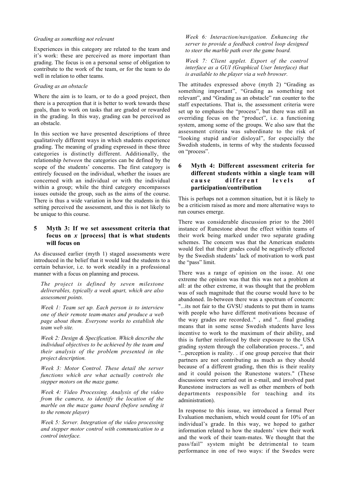#### *Grading as something not relevant*

Experiences in this category are related to the team and it's work: these are perceived as more important than grading. The focus is on a personal sense of obligation to contribute to the work of the team, or for the team to do well in relation to other teams.

#### *Grading as an obstacle*

Where the aim is to learn, or to do a good project, then there is a perception that it is better to work towards these goals, than to work on tasks that are graded or rewarded in the grading. In this way, grading can be perceived as an obstacle.

In this section we have presented descriptions of three qualitatively different ways in which students experience grading. The meaning of grading expressed in these three categories is distinctly different. Additionally, the relationship *between* the categories can be defined by the scope of the students' concerns. The first category is entirely focused on the individual, whether the issues are concerned with an individual or with the individual within a group; while the third category encompasses issues outside the group, such as the aims of the course. There is thus a wide variation in how the students in this setting perceived the assessment, and this is not likely to be unique to this course.

#### **5 Myth 3: If we set assessment criteria that focus on** *x* **[process] that is what students will focus on**

As discussed earlier (myth 1) staged assessments were introduced in the belief that it would lead the students to a certain behavior, i.e. to work steadily in a professional manner with a focus on planning and process.

*The project is defined by seven milestone deliverables, typically a week apart, which are also assessment points.*

*Week 1: Team set up. Each person is to interview one of their remote team-mates and produce a web page about them. Everyone works to establish the team web site.*

*Week 2: Design & Specification. Which describe the individual objectives to be achieved by the team and their analysis of the problem presented in the project description.*

*Week 3: Motor Control. These detail the server functions which are what actually controls the stepper motors on the maze game.*

*Week 4: Video Processing. Analysis of the video from the camera, to identify the location of the marble on the maze game board (before sending it to the remote player)*

*Week 5: Server. Integration of the video processing and stepper motor control with communication to a control interface.*

*Week 6: Interaction/navigation. Enhancing the server to provide a feedback control loop designed to steer the marble path over the game board.*

*Week 7: Client applet. Export of the control interface as a GUI (Graphical User Interface) that is available to the player via a web browser.*

The attitudes expressed above (myth 2) "Grading as something important", "Grading as something not relevant", and "Grading as an obstacle" ran counter to the staff expectations. That is, the assessment criteria were set up to emphasis the "process", but there was still an overriding focus on the "product", i.e. a functioning system, among some of the groups. We also saw that the assessment criteria was subordinate to the risk of "looking stupid and/or disloyal", for especially the Swedish students, in terms of why the students focussed on "process".

#### **6 Myth 4: Different assessment criteria for different students within a single team will** cause different levels of **participation/contribution**

This is perhaps not a common situation, but it is likely to be a criticism raised as more and more alternative ways to run courses emerge.

There was considerable discussion prior to the 2001 instance of Runestone about the effect within teams of their work being marked under two separate grading schemes. The concern was that the American students would feel that their grades could be negatively effected by the Swedish students' lack of motivation to work past the "pass" limit.

There was a range of opinion on the issue. At one extreme the opinion was that this was not a problem at all: at the other extreme, it was thought that the problem was of such magnitude that the course would have to be abandoned. In-between there was a spectrum of concern: "...its not fair to the GVSU students to put them in teams with people who have different motivations because of the way grades are recorded.." , and ".. final grading means that in some sense Swedish students have less incentive to work to the maximum of their ability, and this is further reinforced by their exposure to the USA grading system through the collaboration process..", and "...perception is reality. . if one group perceive that their partners are not contributing as much as they should because of a different grading, then this is their reality and it could poison the Runestone waters." (These discussions were carried out in e-mail, and involved past Runestone instructors as well as other members of both departments responsible for teaching and its administration).

In response to this issue, we introduced a formal Peer Evaluation mechanism, which would count for 10% of an individual's grade. In this way, we hoped to gather information related to how the students' view their work and the work of their team-mates. We thought that the pass/fail" system might be detrimental to team performance in one of two ways: if the Swedes were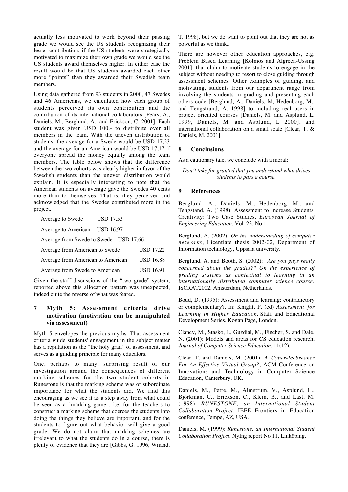actually less motivated to work beyond their passing grade we would see the US students recognizing their lesser contribution; if the US students were strategically motivated to maximize their own grade we would see the US students award themselves higher. In either case the result would be that US students awarded each other more "points" than they awarded their Swedish team members.

Using data gathered from 93 students in 2000, 47 Swedes and 46 Americans, we calculated how each group of students perceived its own contribution and the contribution of its international collaborators [Pears, A., Daniels, M., Berglund, A., and Erickson, C. 2001]. Each student was given USD 100.- to distribute over all members in the team. With the uneven distribution of students, the average for a Swede would be USD 17,23 and the average for an American would be USD 17,17 if everyone spread the money equally among the team members. The table below shows that the difference between the two cohorts was clearly higher in favor of the Swedish students than the uneven distribution would explain. It is especially interesting to note that the American students on average gave the Swedes 40 cents more than to themselves. That is, they perceived and acknowledged that the Swedes contributed more in the project.

| Average to Swede<br>USD 17.53           |                  |
|-----------------------------------------|------------------|
| Average to American<br><b>USD 16.97</b> |                  |
| Average from Swede to Swede USD 17.66   |                  |
| Average from American to Swede          | <b>USD 17.22</b> |
| Average from American to American       | <b>USD 16.88</b> |
| Average from Swede to American          | <b>USD 16.91</b> |

Given the staff discussions of the "two grade" system, reported above this allocation pattern was unexpected, indeed quite the reverse of what was feared.

#### **7 Myth 5: Assessment criteria drive motivation (motivation can be manipulated via assessment)**

Myth 5 envelopes the previous myths. That assessment criteria guide students' engagement in the subject matter has a reputation as the "the holy grail" of assessment, and serves as a guiding principle for many educators.

One, perhaps to many, surprising result of our investigation around the consequences of different marking schemes for the two student cohorts in Runestone is that the marking scheme was of subordinate importance for what the students did. We find this encouraging as we see it as a step away from what could be seen as a "marking game", i.e. for the teachers to construct a marking scheme that coerces the students into doing the things they believe are important, and for the students to figure out what behavior will give a good grade. We do not claim that marking schemes are irrelevant to what the students do in a course, there is plenty of evidence that they are [Gibbs, G. 1996, Wiiand,

T. 1998], but we do want to point out that they are not as powerful as we think..

There are however other education approaches, e.g. Problem Based Learning [Kolmos and Algreen-Ussing 2001], that claim to motivate students to engage in the subject without needing to resort to close guiding through assessment schemes. Other examples of guiding, and motivating, students from our department range from involving the students in grading and presenting each others code [Berglund, A., Daniels, M, Hedenborg, M., and Tengstrand, A. 1998] to including real users in project oriented courses [Daniels, M. and Asplund, L. 1999, Daniels, M. and Asplund, L 2000], and international collaboration on a small scale [Clear, T. & Daniels, M. 2001].

#### **8 Conclusions**

As a cautionary tale, we conclude with a moral:

#### *Don't take for granted that you understand what drives students to pass a course.*

#### **9 References**

Berglund, A., Daniels, M., Hedenborg, M., and Tengstand, A. (1998): Assessment to Increase Students' Creativity: Two Case Studies, *European Journal of Engineering Education*, Vol. 23, No 1.

Berglund, A. (2002): *On the understanding of computer networks*, Licentiate thesis 2002-02, Department of Information technology, Uppsala university.

Berglund, A. and Booth, S. (2002): *"Are you guys really concerned about the grades?" On the experience of grading systems as contextual to learning in an internationally distributed computer science course*. ISCRAT2002, Amsterdam, Netherlands.

Boud, D. (1995): Assessment and learning: contradictory or complementary?, In: Knight, P. (ed) *Assessment for Learning in Higher Education*. Staff and Educational Development Series. Kogan Page, London.

Clancy, M., Stasko, J., Guzdial, M., Fincher, S. and Dale, N. (2001): Models and areas for CS education research, *Journal of Computer Science Education*, 11(12).

Clear, T. and Daniels, M. (2001): *A Cyber-Icebreaker For An Effective Virtual Group?*, ACM Conference on Innovations and Technology in Computer Science Education, Canterbury, UK.

Daniels, M., Petre, M., Almstrum, V., Asplund, L., Björkman, C., Erickson, C., Klein, B., and Last, M. (1998): *RUNESTONE, an International Student Collaboration Project*. IEEE Frontiers in Education conference, Tempe, AZ, USA.

Daniels, M. (1999): *Runestone, an International Student Collaboration Project*. NyIng report No 11, Linköping.